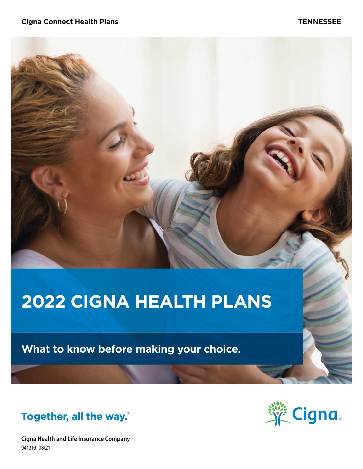# **2022 CIGNA HEALTH PLANS**

**What to know before making your choice.**



**Cigna Health and Life Insurance Company** 941316 08/21

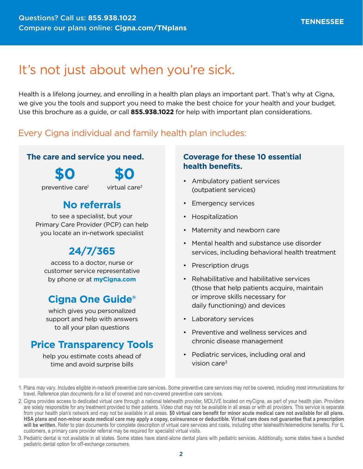# It's not just about when you're sick.

Health is a lifelong journey, and enrolling in a health plan plays an important part. That's why at Cigna, we give you the tools and support you need to make the best choice for your health and your budget. Use this brochure as a guide, or call **855.938.1022** for help with important plan considerations.

### Every Cigna individual and family health plan includes:

#### **The care and service you need.**

**\$0**

**\$0**

preventive care1

virtual care2

### **No referrals**

to see a specialist, but your Primary Care Provider (PCP) can help you locate an in-network specialist

# **24/7/365**

access to a doctor, nurse or customer service representative by phone or at **[myCigna.com](http://myCigna.com)**

### **Cigna One Guide®**

which gives you personalized support and help with answers to all your plan questions

### **Price Transparency Tools**

help you estimate costs ahead of time and avoid surprise bills

### **Coverage for these 10 essential health benefits.**

- Ambulatory patient services (outpatient services)
- Emergency services
- Hospitalization
- Maternity and newborn care
- Mental health and substance use disorder services, including behavioral health treatment
- Prescription drugs
- Rehabilitative and habilitative services (those that help patients acquire, maintain or improve skills necessary for daily functioning) and devices
- Laboratory services
- Preventive and wellness services and chronic disease management
- Pediatric services, including oral and vision care $3$

3. Pediatric dental is not available in all states. Some states have stand-alone dental plans with pediatric services. Additionally, some states have a bundled pediatric dental option for off-exchange consumers.

<sup>1.</sup> Plans may vary. Includes eligible in-network preventive care services. Some preventive care services may not be covered, including most immunizations for travel. Reference plan documents for a list of covered and non-covered preventive care services.

<sup>2.</sup> Cigna provides access to dedicated virtual care through a national telehealth provider, MDLIVE located on myCigna, as part of your health plan. Providers are solely responsible for any treatment provided to their patients. Video chat may not be available in all areas or with all providers. This service is separate from your health plan's network and may not be available in all areas. **\$0 virtual care benefit for minor acute medical care not available for all plans. HSA plans and non-minor acute medical care may apply a copay, coinsurance or deductible. Virtual care does not guarantee that a prescription will be written.** Refer to plan documents for complete description of virtual care services and costs, including other telehealth/telemedicine benefits. For IL customers, a primary care provider referral may be required for specialist virtual visits.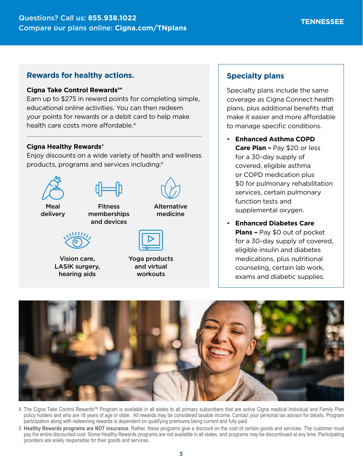#### **Rewards for healthy actions.**

#### **Cigna Take Control Rewards℠**

Earn up to \$275 in reward points for completing simple, educational online activities. You can then redeem your points for rewards or a debit card to help make health care costs more affordable.<sup>4</sup>

#### **Cigna Healthy Rewards®**

Enjoy discounts on a wide variety of health and wellness products, programs and services including:5



Vision care, LASIK surgery, hearing aids

Yoga products and virtual workouts

#### **Specialty plans**

Specialty plans include the same coverage as Cigna Connect health plans, plus additional benefits that make it easier and more affordable to manage specific conditions.

- **Enhanced Asthma COPD Care Plan –** Pay \$20 or less for a 30-day supply of covered, eligible asthma or COPD medication plus \$0 for pulmonary rehabilitation services, certain pulmonary function tests and supplemental oxygen.
- **Enhanced Diabetes Care Plans –** Pay \$0 out of pocket for a 30-day supply of covered, eligible insulin and diabetes medications, plus nutritional counseling, certain lab work, exams and diabetic supplies.



- 4. The Cigna Take Control Rewards<sup>SM</sup> Program is available in all states to all primary subscribers that are active Cigna medical Individual and Family Plan policy holders and who are 18 years of age or older. All rewards may be considered taxable income. Contact your personal tax advisor for details. Program participation along with redeeming rewards is dependent on qualifying premiums being current and fully paid.
- 5. **Healthy Rewards programs are NOT insurance**. Rather, these programs give a discount on the cost of certain goods and services. The customer must pay the entire discounted cost. Some Healthy Rewards programs are not available in all states, and programs may be discontinued at any time. Participating providers are solely responsible for their goods and services.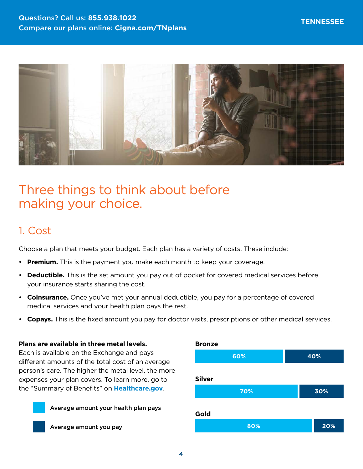

# Three things to think about before making your choice.

### 1. Cost

Choose a plan that meets your budget. Each plan has a variety of costs. These include:

- **Premium.** This is the payment you make each month to keep your coverage.
- **Deductible.** This is the set amount you pay out of pocket for covered medical services before your insurance starts sharing the cost.
- **Coinsurance.** Once you've met your annual deductible, you pay for a percentage of covered medical services and your health plan pays the rest.
- **Copays.** This is the fixed amount you pay for doctor visits, prescriptions or other medical services.

#### **Plans are available in three metal levels.**

Each is available on the Exchange and pays different amounts of the total cost of an average person's care. The higher the metal level, the more expenses your plan covers. To learn more, go to the "Summary of Benefits" on **[Healthcare.gov](http://Healthcare.gov)**.



Average amount you pay

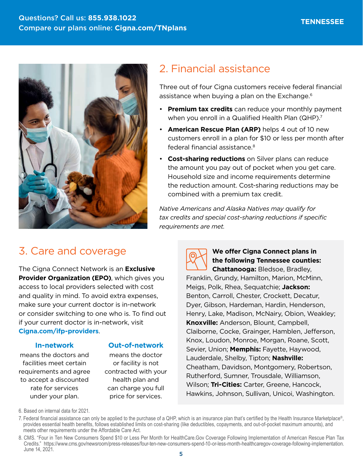

## 3. Care and coverage

The Cigna Connect Network is an **Exclusive Provider Organization (EPO)**, which gives you access to local providers selected with cost and quality in mind. To avoid extra expenses, make sure your current doctor is in-network or consider switching to one who is. To find out if your current doctor is in-network, visit **[Cigna.com/ifp-providers](https://www.Cigna.com/ifp-providers)**.

#### **In-network**

means the doctors and facilities meet certain requirements and agree to accept a discounted rate for services under your plan.

#### **Out-of-network**

means the doctor or facility is not contracted with your health plan and can charge you full price for services.

## 2. Financial assistance

Three out of four Cigna customers receive federal financial assistance when buying a plan on the Exchange.<sup>6</sup>

- **Premium tax credits** can reduce your monthly payment when you enroll in a Qualified Health Plan (QHP).<sup>7</sup>
- **American Rescue Plan (ARP)** helps 4 out of 10 new customers enroll in a plan for \$10 or less per month after federal financial assistance.8
- **Cost-sharing reductions** on Silver plans can reduce the amount you pay out of pocket when you get care. Household size and income requirements determine the reduction amount. Cost-sharing reductions may be combined with a premium tax credit.

*Native Americans and Alaska Natives may qualify for tax credits and special cost-sharing reductions if specific requirements are met.*



### **We offer Cigna Connect plans in the following Tennessee counties:**

**Chattanooga:** Bledsoe, Bradley, Franklin, Grundy, Hamilton, Marion, McMinn, Meigs, Polk, Rhea, Sequatchie; **Jackson:** Benton, Carroll, Chester, Crockett, Decatur, Dyer, Gibson, Hardeman, Hardin, Henderson, Henry, Lake, Madison, McNairy, Obion, Weakley; **Knoxville:** Anderson, Blount, Campbell, Claiborne, Cocke, Grainger, Hamblen, Jefferson, Knox, Loudon, Monroe, Morgan, Roane, Scott, Sevier, Union; **Memphis:** Fayette, Haywood, Lauderdale, Shelby, Tipton; **Nashville:**  Cheatham, Davidson, Montgomery, Robertson, Rutherford, Sumner, Trousdale, Williamson, Wilson; **Tri-Cities:** Carter, Greene, Hancock, Hawkins, Johnson, Sullivan, Unicoi, Washington.

6. Based on internal data for 2021.

7. Federal financial assistance can only be applied to the purchase of a QHP, which is an insurance plan that's certified by the Health Insurance Marketplace®, provides essential health benefits, follows established limits on cost-sharing (like deductibles, copayments, and out-of-pocket maximum amounts), and meets other requirements under the Affordable Care Act.

<sup>8.</sup> CMS. "Four in Ten New Consumers Spend \$10 or Less Per Month for HealthCare.Gov Coverage Following Implementation of American Rescue Plan Tax Credits." <https://www.cms.gov/newsroom/press-releases/four-ten-new-consumers-spend-10-or-less-month-healthcaregov-coverage-following-implementation>. June 14, 2021.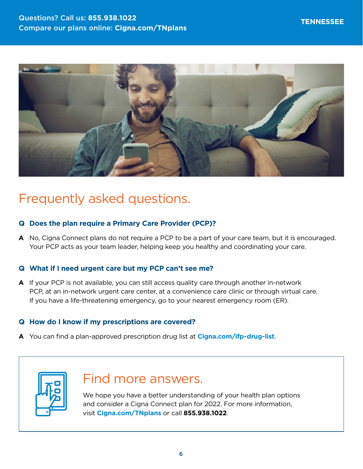

# Frequently asked questions.

#### **Q Does the plan require a Primary Care Provider (PCP)?**

**A** No, Cigna Connect plans do not require a PCP to be a part of your care team, but it is encouraged. Your PCP acts as your team leader, helping keep you healthy and coordinating your care.

#### **Q What if I need urgent care but my PCP can't see me?**

**A** If your PCP is not available, you can still access quality care through another in-network PCP, at an in-network urgent care center, at a convenience care clinic or through virtual care. If you have a life-threatening emergency, go to your nearest emergency room (ER).

#### **Q How do I know if my prescriptions are covered?**

**A** You can find a plan-approved prescription drug list at **[Cigna.com/ifp-drug-list](http://Cigna.com/ifp-drug-list)**.



# Find more answers.

We hope you have a better understanding of your health plan options and consider a Cigna Connect plan for 2022. For more information, visit **[Cigna.com/TNplans](http://Cigna.com/TNplans)** or call **855.938.1022**.